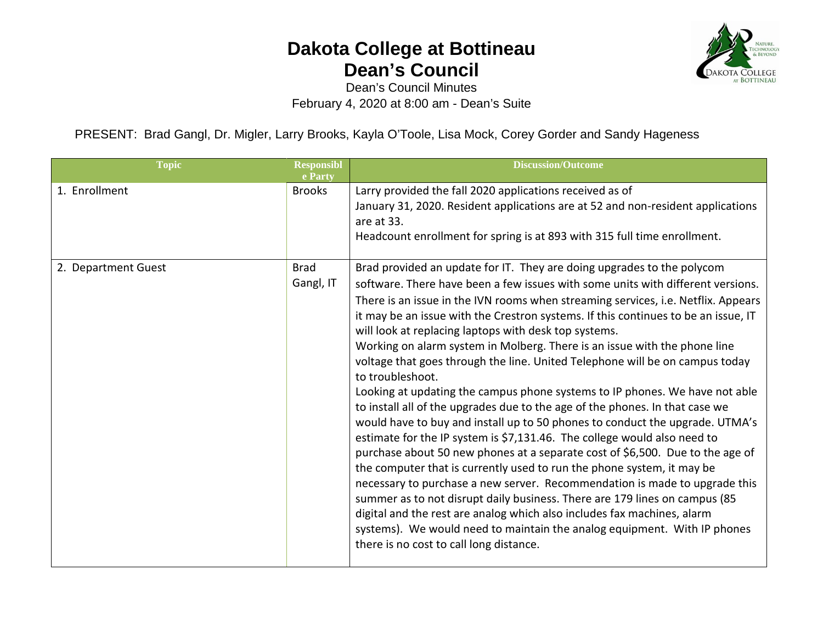

Dean's Council Minutes February 4, 2020 at 8:00 am - Dean's Suite

PRESENT: Brad Gangl, Dr. Migler, Larry Brooks, Kayla O'Toole, Lisa Mock, Corey Gorder and Sandy Hageness

| <b>Topic</b>        | <b>Responsibl</b><br>e Party | Discussion/Outcome                                                                                                                                                                                                                                                                                                                                                                                                                                                                                                                                                                                                                                                                                                                                                                                                                                                                                                                                                                                                                                                                                                                                                                                                                                                                                                                                                                                                                 |
|---------------------|------------------------------|------------------------------------------------------------------------------------------------------------------------------------------------------------------------------------------------------------------------------------------------------------------------------------------------------------------------------------------------------------------------------------------------------------------------------------------------------------------------------------------------------------------------------------------------------------------------------------------------------------------------------------------------------------------------------------------------------------------------------------------------------------------------------------------------------------------------------------------------------------------------------------------------------------------------------------------------------------------------------------------------------------------------------------------------------------------------------------------------------------------------------------------------------------------------------------------------------------------------------------------------------------------------------------------------------------------------------------------------------------------------------------------------------------------------------------|
| 1. Enrollment       | <b>Brooks</b>                | Larry provided the fall 2020 applications received as of<br>January 31, 2020. Resident applications are at 52 and non-resident applications<br>are at 33.<br>Headcount enrollment for spring is at 893 with 315 full time enrollment.                                                                                                                                                                                                                                                                                                                                                                                                                                                                                                                                                                                                                                                                                                                                                                                                                                                                                                                                                                                                                                                                                                                                                                                              |
| 2. Department Guest | <b>Brad</b><br>Gangl, IT     | Brad provided an update for IT. They are doing upgrades to the polycom<br>software. There have been a few issues with some units with different versions.<br>There is an issue in the IVN rooms when streaming services, i.e. Netflix. Appears<br>it may be an issue with the Crestron systems. If this continues to be an issue, IT<br>will look at replacing laptops with desk top systems.<br>Working on alarm system in Molberg. There is an issue with the phone line<br>voltage that goes through the line. United Telephone will be on campus today<br>to troubleshoot.<br>Looking at updating the campus phone systems to IP phones. We have not able<br>to install all of the upgrades due to the age of the phones. In that case we<br>would have to buy and install up to 50 phones to conduct the upgrade. UTMA's<br>estimate for the IP system is \$7,131.46. The college would also need to<br>purchase about 50 new phones at a separate cost of \$6,500. Due to the age of<br>the computer that is currently used to run the phone system, it may be<br>necessary to purchase a new server. Recommendation is made to upgrade this<br>summer as to not disrupt daily business. There are 179 lines on campus (85<br>digital and the rest are analog which also includes fax machines, alarm<br>systems). We would need to maintain the analog equipment. With IP phones<br>there is no cost to call long distance. |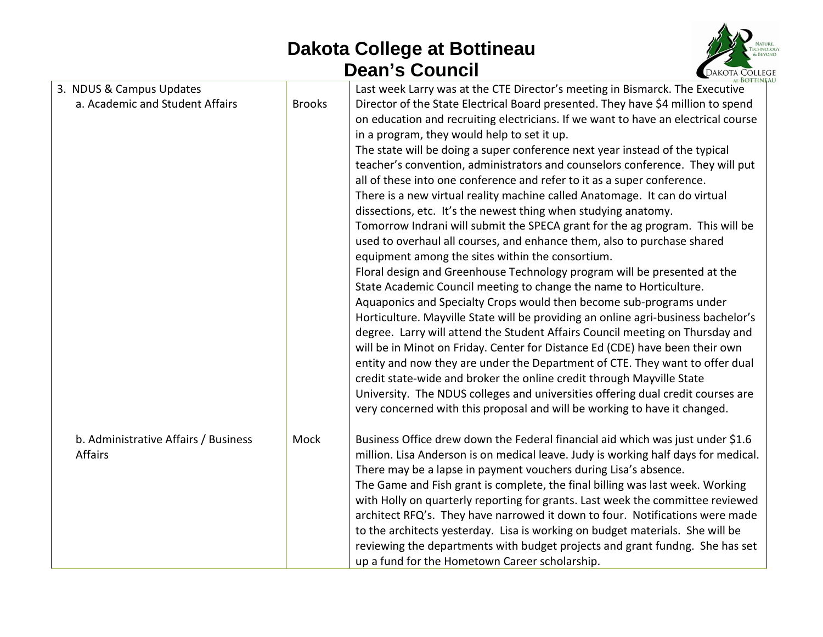

| 3. NDUS & Campus Updates                               |               | Last week Larry was at the CTE Director's meeting in Bismarck. The Executive                                                                                                                                                                                                                                                                                                                                                                                                                                                                                                                                                                                                                                                                                                                                                                                                                                                                                                                                                                                                                                                                                                                                                                                                                                                                                                                                                                                                                                                                                                                                                            |
|--------------------------------------------------------|---------------|-----------------------------------------------------------------------------------------------------------------------------------------------------------------------------------------------------------------------------------------------------------------------------------------------------------------------------------------------------------------------------------------------------------------------------------------------------------------------------------------------------------------------------------------------------------------------------------------------------------------------------------------------------------------------------------------------------------------------------------------------------------------------------------------------------------------------------------------------------------------------------------------------------------------------------------------------------------------------------------------------------------------------------------------------------------------------------------------------------------------------------------------------------------------------------------------------------------------------------------------------------------------------------------------------------------------------------------------------------------------------------------------------------------------------------------------------------------------------------------------------------------------------------------------------------------------------------------------------------------------------------------------|
| a. Academic and Student Affairs                        | <b>Brooks</b> | Director of the State Electrical Board presented. They have \$4 million to spend<br>on education and recruiting electricians. If we want to have an electrical course<br>in a program, they would help to set it up.<br>The state will be doing a super conference next year instead of the typical<br>teacher's convention, administrators and counselors conference. They will put<br>all of these into one conference and refer to it as a super conference.<br>There is a new virtual reality machine called Anatomage. It can do virtual<br>dissections, etc. It's the newest thing when studying anatomy.<br>Tomorrow Indrani will submit the SPECA grant for the ag program. This will be<br>used to overhaul all courses, and enhance them, also to purchase shared<br>equipment among the sites within the consortium.<br>Floral design and Greenhouse Technology program will be presented at the<br>State Academic Council meeting to change the name to Horticulture.<br>Aquaponics and Specialty Crops would then become sub-programs under<br>Horticulture. Mayville State will be providing an online agri-business bachelor's<br>degree. Larry will attend the Student Affairs Council meeting on Thursday and<br>will be in Minot on Friday. Center for Distance Ed (CDE) have been their own<br>entity and now they are under the Department of CTE. They want to offer dual<br>credit state-wide and broker the online credit through Mayville State<br>University. The NDUS colleges and universities offering dual credit courses are<br>very concerned with this proposal and will be working to have it changed. |
| b. Administrative Affairs / Business<br><b>Affairs</b> | Mock          | Business Office drew down the Federal financial aid which was just under \$1.6<br>million. Lisa Anderson is on medical leave. Judy is working half days for medical.<br>There may be a lapse in payment vouchers during Lisa's absence.<br>The Game and Fish grant is complete, the final billing was last week. Working<br>with Holly on quarterly reporting for grants. Last week the committee reviewed<br>architect RFQ's. They have narrowed it down to four. Notifications were made<br>to the architects yesterday. Lisa is working on budget materials. She will be<br>reviewing the departments with budget projects and grant fundng. She has set<br>up a fund for the Hometown Career scholarship.                                                                                                                                                                                                                                                                                                                                                                                                                                                                                                                                                                                                                                                                                                                                                                                                                                                                                                                           |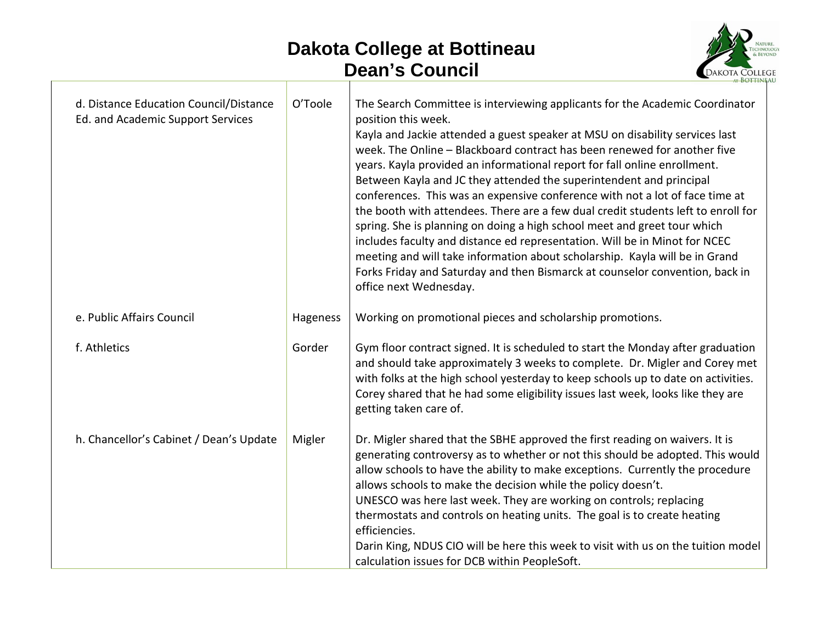

| d. Distance Education Council/Distance<br>Ed. and Academic Support Services | O'Toole  | The Search Committee is interviewing applicants for the Academic Coordinator<br>position this week.<br>Kayla and Jackie attended a guest speaker at MSU on disability services last<br>week. The Online - Blackboard contract has been renewed for another five<br>years. Kayla provided an informational report for fall online enrollment.<br>Between Kayla and JC they attended the superintendent and principal<br>conferences. This was an expensive conference with not a lot of face time at<br>the booth with attendees. There are a few dual credit students left to enroll for<br>spring. She is planning on doing a high school meet and greet tour which<br>includes faculty and distance ed representation. Will be in Minot for NCEC<br>meeting and will take information about scholarship. Kayla will be in Grand<br>Forks Friday and Saturday and then Bismarck at counselor convention, back in<br>office next Wednesday. |
|-----------------------------------------------------------------------------|----------|---------------------------------------------------------------------------------------------------------------------------------------------------------------------------------------------------------------------------------------------------------------------------------------------------------------------------------------------------------------------------------------------------------------------------------------------------------------------------------------------------------------------------------------------------------------------------------------------------------------------------------------------------------------------------------------------------------------------------------------------------------------------------------------------------------------------------------------------------------------------------------------------------------------------------------------------|
| e. Public Affairs Council                                                   | Hageness | Working on promotional pieces and scholarship promotions.                                                                                                                                                                                                                                                                                                                                                                                                                                                                                                                                                                                                                                                                                                                                                                                                                                                                                   |
| f. Athletics                                                                | Gorder   | Gym floor contract signed. It is scheduled to start the Monday after graduation<br>and should take approximately 3 weeks to complete. Dr. Migler and Corey met<br>with folks at the high school yesterday to keep schools up to date on activities.<br>Corey shared that he had some eligibility issues last week, looks like they are<br>getting taken care of.                                                                                                                                                                                                                                                                                                                                                                                                                                                                                                                                                                            |
| h. Chancellor's Cabinet / Dean's Update                                     | Migler   | Dr. Migler shared that the SBHE approved the first reading on waivers. It is<br>generating controversy as to whether or not this should be adopted. This would<br>allow schools to have the ability to make exceptions. Currently the procedure<br>allows schools to make the decision while the policy doesn't.<br>UNESCO was here last week. They are working on controls; replacing<br>thermostats and controls on heating units. The goal is to create heating<br>efficiencies.<br>Darin King, NDUS CIO will be here this week to visit with us on the tuition model<br>calculation issues for DCB within PeopleSoft.                                                                                                                                                                                                                                                                                                                   |